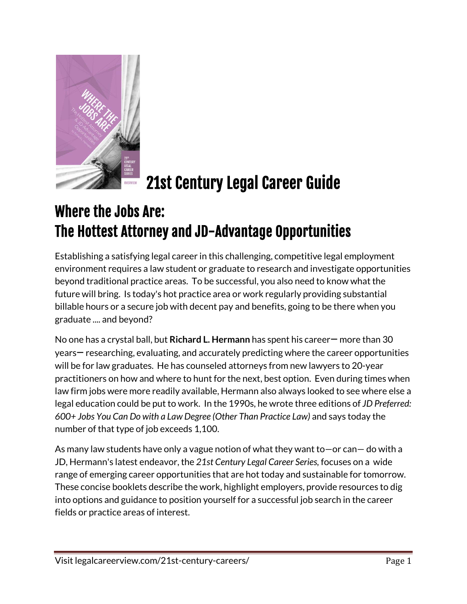

# 21st Century Legal Career Guide

## Where the Jobs Are: The Hottest Attorney and JD-Advantage Opportunities

Establishing a satisfying legal career in this challenging, competitive legal employment environment requires a law student or graduate to research and investigate opportunities beyond traditional practice areas. To be successful, you also need to know what the future will bring. Is today's hot practice area or work regularly providing substantial billable hours or a secure job with decent pay and benefits, going to be there when you graduate .... and beyond?

No one has a crystal ball, but **Richard L. Hermann** has spent his career— more than 30 years— researching, evaluating, and accurately predicting where the career opportunities will be for law graduates. He has counseled attorneys from new lawyers to 20-year practitioners on how and where to hunt for the next, best option. Even during times when law firm jobs were more readily available, Hermann also always looked to see where else a legal education could be put to work. In the 1990s, he wrote three editions of *JD Preferred: 600+ Jobs You Can Do with a Law Degree (Other Than Practice Law)* and says today the number of that type of job exceeds 1,100.

As many law students have only a vague notion of what they want to—or can— do with a JD, Hermann's latest endeavor, the *21st Century Legal Career Series,* focuses on a wide range of emerging career opportunities that are hot today and sustainable for tomorrow. These concise booklets describe the work, highlight employers, provide resources to dig into options and guidance to position yourself for a successful job search in the career fields or practice areas of interest.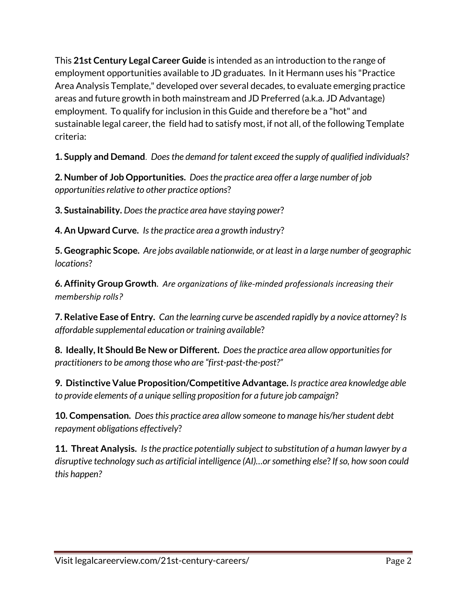This **21st Century Legal Career Guide** is intended as an introduction to the range of employment opportunities available to JD graduates. In it Hermann uses his "Practice Area Analysis Template," developed over several decades, to evaluate emerging practice areas and future growth in both mainstream and JD Preferred (a.k.a. JD Advantage) employment. To qualify for inclusion in this Guide and therefore be a "hot" and sustainable legal career, the field had to satisfy most, if not all, of the following Template criteria:

**1. Supply and Demand**. *Does the demand for talent exceed the supply of qualified individuals*?

**2. Number of Job Opportunities.** *Does the practice area offer a large number of job opportunities relative to other practice options*?

**3. Sustainability.** *Does the practice area have staying power*?

**4. An Upward Curve.** *Is the practice area a growth industry*?

**5. Geographic Scope.** *Are jobs available nationwide, or at least in a large number of geographic locations*?

**6. Affinity Group Growth**. *Are organizations of like-minded professionals increasing their membership rolls?*

**7. Relative Ease of Entry.** *Can the learning curve be ascended rapidly by a novice attorney*? *Is affordable supplemental education or training available*?

**8. Ideally, It Should Be New or Different.** *Does the practice area allow opportunities for practitioners to be among those who are "first-past-the-post?"*

**9. Distinctive Value Proposition/Competitive Advantage.** *Is practice area knowledge able to provide elements of a unique selling proposition for a future job campaign*?

**10. Compensation.** *Does this practice area allow someone to manage his/her student debt repayment obligations effectively*?

**11. Threat Analysis.** *Is the practice potentially subject to substitution of a human lawyer by a disruptive technology such as artificial intelligence (AI)…or something else*? *If so, how soon could this happen?*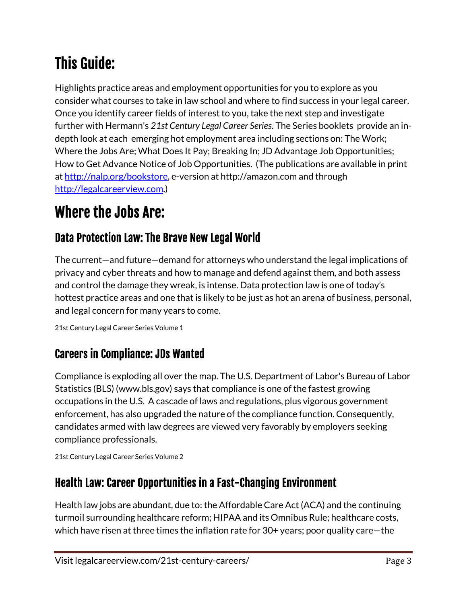# This Guide:

Highlights practice areas and employment opportunities for you to explore as you consider what courses to take in law school and where to find success in your legal career. Once you identify career fields of interest to you, take the next step and investigate further with Hermann's *21st Century Legal Career Series*. The Series booklets provide an indepth look at each emerging hot employment area including sections on: The Work; Where the Jobs Are; What Does It Pay; Breaking In; JD Advantage Job Opportunities; How to Get Advance Notice of Job Opportunities. (The publications are available in print at [http://nalp.org/bookstore,](http://nalp.org/bookstore) e-version at http://amazon.com and through [http://legalcareerview.com.](http://legalcareerview.com/))

## Where the Jobs Are:

#### Data Protection Law: The Brave New Legal World

The current—and future—demand for attorneys who understand the legal implications of privacy and cyber threats and how to manage and defend against them, and both assess and control the damage they wreak, is intense. Data protection law is one of today's hottest practice areas and one that is likely to be just as hot an arena of business, personal, and legal concern for many years to come.

21st Century Legal Career Series Volume 1

#### Careers in Compliance: JDs Wanted

Compliance is exploding all over the map. The U.S. Department of Labor's Bureau of Labor Statistics (BLS) (www.bls.gov) says that compliance is one of the fastest growing occupations in the U.S. A cascade of laws and regulations, plus vigorous government enforcement, has also upgraded the nature of the compliance function. Consequently, candidates armed with law degrees are viewed very favorably by employers seeking compliance professionals.

21st Century Legal Career Series Volume 2

### Health Law: Career Opportunities in a Fast-Changing Environment

Health law jobs are abundant, due to: the Affordable Care Act (ACA) and the continuing turmoil surrounding healthcare reform; HIPAA and its Omnibus Rule; healthcare costs, which have risen at three times the inflation rate for 30+ years; poor quality care—the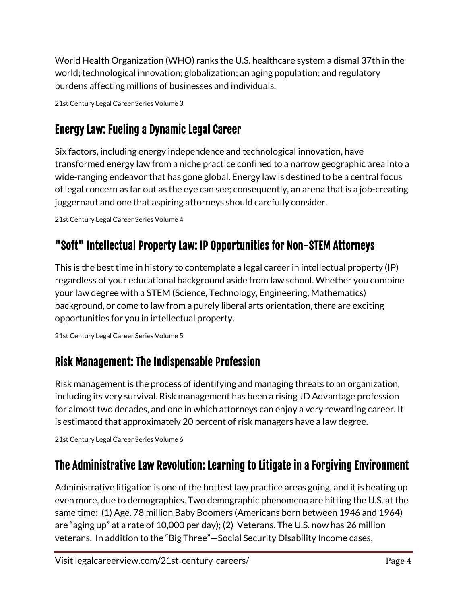World Health Organization (WHO) ranks the U.S. healthcare system a dismal 37th in the world; technological innovation; globalization; an aging population; and regulatory burdens affecting millions of businesses and individuals.

21st Century Legal Career Series Volume 3

## Energy Law: Fueling a Dynamic Legal Career

Six factors, including energy independence and technological innovation, have transformed energy law from a niche practice confined to a narrow geographic area into a wide-ranging endeavor that has gone global. Energy law is destined to be a central focus of legal concern as far out as the eye can see; consequently, an arena that is a job-creating juggernaut and one that aspiring attorneys should carefully consider.

21st Century Legal Career Series Volume 4

## "Soft" Intellectual Property Law: IP Opportunities for Non-STEM Attorneys

This is the best time in history to contemplate a legal career in intellectual property (IP) regardless of your educational background aside from law school. Whether you combine your law degree with a STEM (Science, Technology, Engineering, Mathematics) background, or come to law from a purely liberal arts orientation, there are exciting opportunities for you in intellectual property.

```
21st Century Legal Career Series Volume 5
```
## Risk Management: The Indispensable Profession

Risk management is the process of identifying and managing threats to an organization, including its very survival. Risk management has been a rising JD Advantage profession for almost two decades, and one in which attorneys can enjoy a very rewarding career. It is estimated that approximately 20 percent of risk managers have a law degree.

```
21st Century Legal Career Series Volume 6
```
## The Administrative Law Revolution: Learning to Litigate in a Forgiving Environment

Administrative litigation is one of the hottest law practice areas going, and it is heating up even more, due to demographics. Two demographic phenomena are hitting the U.S. at the same time: (1) Age. 78 million Baby Boomers (Americans born between 1946 and 1964) are "aging up" at a rate of 10,000 per day); (2) Veterans. The U.S. now has 26 million veterans. In addition to the "Big Three"—Social Security Disability Income cases,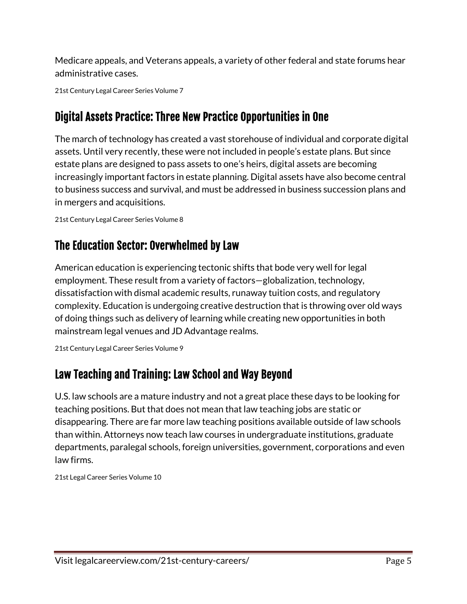Medicare appeals, and Veterans appeals, a variety of other federal and state forums hear administrative cases.

21st Century Legal Career Series Volume 7

## Digital Assets Practice: Three New Practice Opportunities in One

The march of technology has created a vast storehouse of individual and corporate digital assets. Until very recently, these were not included in people's estate plans. But since estate plans are designed to pass assets to one's heirs, digital assets are becoming increasingly important factors in estate planning. Digital assets have also become central to business success and survival, and must be addressed in business succession plans and in mergers and acquisitions.

```
21st Century Legal Career Series Volume 8
```
## The Education Sector: Overwhelmed by Law

American education is experiencing tectonic shifts that bode very well for legal employment. These result from a variety of factors—globalization, technology, dissatisfaction with dismal academic results, runaway tuition costs, and regulatory complexity. Education is undergoing creative destruction that is throwing over old ways of doing things such as delivery of learning while creating new opportunities in both mainstream legal venues and JD Advantage realms.

21st Century Legal Career Series Volume 9

#### Law Teaching and Training: Law School and Way Beyond

U.S. law schools are a mature industry and not a great place these days to be looking for teaching positions. But that does not mean that law teaching jobs are static or disappearing. There are far more law teaching positions available outside of law schools than within. Attorneys now teach law courses in undergraduate institutions, graduate departments, paralegal schools, foreign universities, government, corporations and even law firms.

21st Legal Career Series Volume 10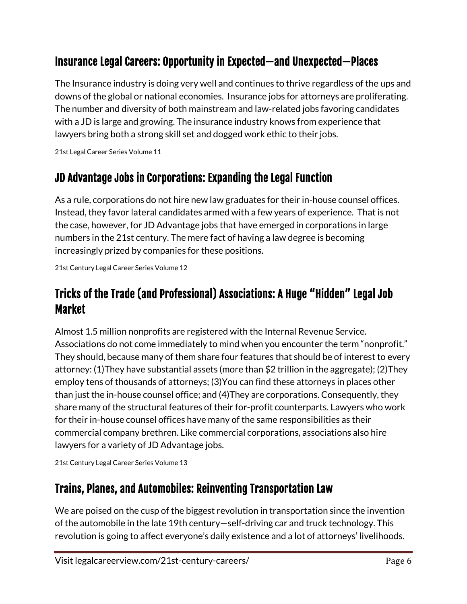#### Insurance Legal Careers: Opportunity in Expected—and Unexpected—Places

The Insurance industry is doing very well and continues to thrive regardless of the ups and downs of the global or national economies. Insurance jobs for attorneys are proliferating. The number and diversity of both mainstream and law-related jobs favoring candidates with a JD is large and growing. The insurance industry knows from experience that lawyers bring both a strong skill set and dogged work ethic to their jobs.

21st Legal Career Series Volume 11

#### JD Advantage Jobs in Corporations: Expanding the Legal Function

As a rule, corporations do not hire new law graduates for their in-house counsel offices. Instead, they favor lateral candidates armed with a few years of experience. That is not the case, however, for JD Advantage jobs that have emerged in corporations in large numbers in the 21st century. The mere fact of having a law degree is becoming increasingly prized by companies for these positions.

21st Century Legal Career Series Volume 12

#### Tricks of the Trade (and Professional) Associations: A Huge "Hidden" Legal Job Market

Almost 1.5 million nonprofits are registered with the Internal Revenue Service. Associations do not come immediately to mind when you encounter the term "nonprofit." They should, because many of them share four features that should be of interest to every attorney: (1)They have substantial assets (more than \$2 trillion in the aggregate); (2)They employ tens of thousands of attorneys; (3)You can find these attorneys in places other than just the in-house counsel office; and (4)They are corporations. Consequently, they share many of the structural features of their for-profit counterparts. Lawyers who work for their in-house counsel offices have many of the same responsibilities as their commercial company brethren. Like commercial corporations, associations also hire lawyers for a variety of JD Advantage jobs.

21st Century Legal Career Series Volume 13

#### Trains, Planes, and Automobiles: Reinventing Transportation Law

We are poised on the cusp of the biggest revolution in transportation since the invention of the automobile in the late 19th century—self-driving car and truck technology. This revolution is going to affect everyone's daily existence and a lot of attorneys' livelihoods.

Visit legalcareerview.com/21st-century-careers/ Page 6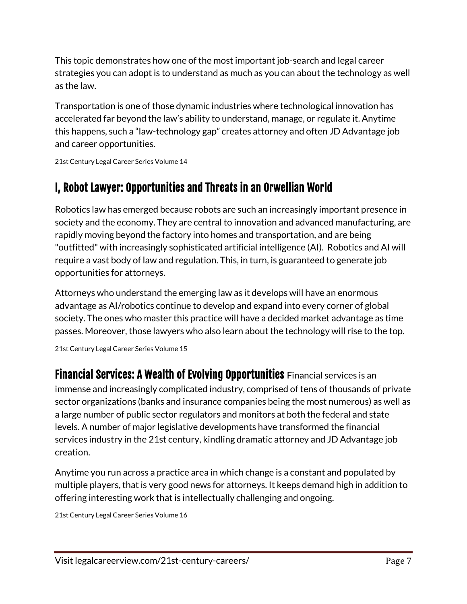This topic demonstrates how one of the most important job-search and legal career strategies you can adopt is to understand as much as you can about the technology as well as the law.

Transportation is one of those dynamic industries where technological innovation has accelerated far beyond the law's ability to understand, manage, or regulate it. Anytime this happens, such a "law-technology gap" creates attorney and often JD Advantage job and career opportunities.

21st Century Legal Career Series Volume 14

#### I, Robot Lawyer: Opportunities and Threats in an Orwellian World

Robotics law has emerged because robots are such an increasingly important presence in society and the economy. They are central to innovation and advanced manufacturing, are rapidly moving beyond the factory into homes and transportation, and are being "outfitted" with increasingly sophisticated artificial intelligence (AI). Robotics and AI will require a vast body of law and regulation. This, in turn, is guaranteed to generate job opportunities for attorneys.

Attorneys who understand the emerging law as it develops will have an enormous advantage as AI/robotics continue to develop and expand into every corner of global society. The ones who master this practice will have a decided market advantage as time passes. Moreover, those lawyers who also learn about the technology will rise to the top.

21st Century Legal Career Series Volume 15

Financial Services: A Wealth of Evolving Opportunities Financial services is an immense and increasingly complicated industry, comprised of tens of thousands of private sector organizations (banks and insurance companies being the most numerous) as well as a large number of public sector regulators and monitors at both the federal and state levels. A number of major legislative developments have transformed the financial services industry in the 21st century, kindling dramatic attorney and JD Advantage job creation.

Anytime you run across a practice area in which change is a constant and populated by multiple players, that is very good news for attorneys. It keeps demand high in addition to offering interesting work that is intellectually challenging and ongoing.

21st Century Legal Career Series Volume 16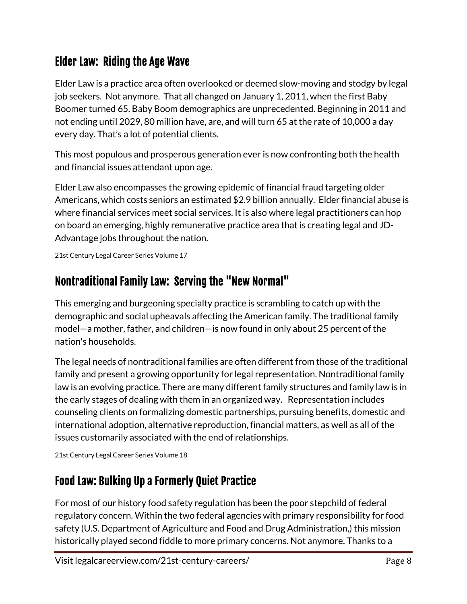#### Elder Law: Riding the Age Wave

Elder Law is a practice area often overlooked or deemed slow-moving and stodgy by legal job seekers. Not anymore. That all changed on January 1, 2011, when the first Baby Boomer turned 65. Baby Boom demographics are unprecedented. Beginning in 2011 and not ending until 2029, 80 million have, are, and will turn 65 at the rate of 10,000 a day every day. That's a lot of potential clients.

This most populous and prosperous generation ever is now confronting both the health and financial issues attendant upon age.

Elder Law also encompasses the growing epidemic of financial fraud targeting older Americans, which costs seniors an estimated \$2.9 billion annually. Elder financial abuse is where financial services meet social services. It is also where legal practitioners can hop on board an emerging, highly remunerative practice area that is creating legal and JD-Advantage jobs throughout the nation.

21st Century Legal Career Series Volume 17

#### Nontraditional Family Law: Serving the "New Normal"

This emerging and burgeoning specialty practice is scrambling to catch up with the demographic and social upheavals affecting the American family. The traditional family model—a mother, father, and children—is now found in only about 25 percent of the nation's households.

The legal needs of nontraditional families are often different from those of the traditional family and present a growing opportunity for legal representation. Nontraditional family law is an evolving practice. There are many different family structures and family law is in the early stages of dealing with them in an organized way. Representation includes counseling clients on formalizing domestic partnerships, pursuing benefits, domestic and international adoption, alternative reproduction, financial matters, as well as all of the issues customarily associated with the end of relationships.

21st Century Legal Career Series Volume 18

## Food Law: Bulking Up a Formerly Quiet Practice

For most of our history food safety regulation has been the poor stepchild of federal regulatory concern. Within the two federal agencies with primary responsibility for food safety (U.S. Department of Agriculture and Food and Drug Administration,) this mission historically played second fiddle to more primary concerns. Not anymore. Thanks to a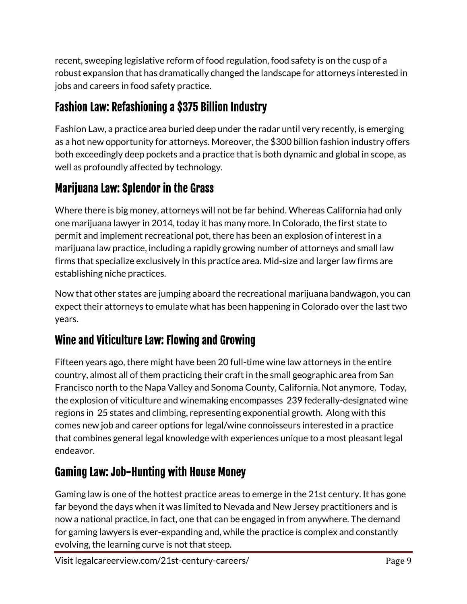recent, sweeping legislative reform of food regulation, food safety is on the cusp of a robust expansion that has dramatically changed the landscape for attorneys interested in jobs and careers in food safety practice.

## Fashion Law: Refashioning a \$375 Billion Industry

Fashion Law, a practice area buried deep under the radar until very recently, is emerging as a hot new opportunity for attorneys. Moreover, the \$300 billion fashion industry offers both exceedingly deep pockets and a practice that is both dynamic and global in scope, as well as profoundly affected by technology.

### Marijuana Law: Splendor in the Grass

Where there is big money, attorneys will not be far behind. Whereas California had only one marijuana lawyer in 2014, today it has many more. In Colorado, the first state to permit and implement recreational pot, there has been an explosion of interest in a marijuana law practice, including a rapidly growing number of attorneys and small law firms that specialize exclusively in this practice area. Mid-size and larger law firms are establishing niche practices.

Now that other states are jumping aboard the recreational marijuana bandwagon, you can expect their attorneys to emulate what has been happening in Colorado over the last two years.

### Wine and Viticulture Law: Flowing and Growing

Fifteen years ago, there might have been 20 full-time wine law attorneys in the entire country, almost all of them practicing their craft in the small geographic area from San Francisco north to the Napa Valley and Sonoma County, California. Not anymore. Today, the explosion of viticulture and winemaking encompasses 239 federally-designated wine regions in 25 states and climbing, representing exponential growth. Along with this comes new job and career options for legal/wine connoisseurs interested in a practice that combines general legal knowledge with experiences unique to a most pleasant legal endeavor.

## Gaming Law: Job-Hunting with House Money

Gaming law is one of the hottest practice areas to emerge in the 21st century. It has gone far beyond the days when it was limited to Nevada and New Jersey practitioners and is now a national practice, in fact, one that can be engaged in from anywhere. The demand for gaming lawyers is ever-expanding and, while the practice is complex and constantly evolving, the learning curve is not that steep.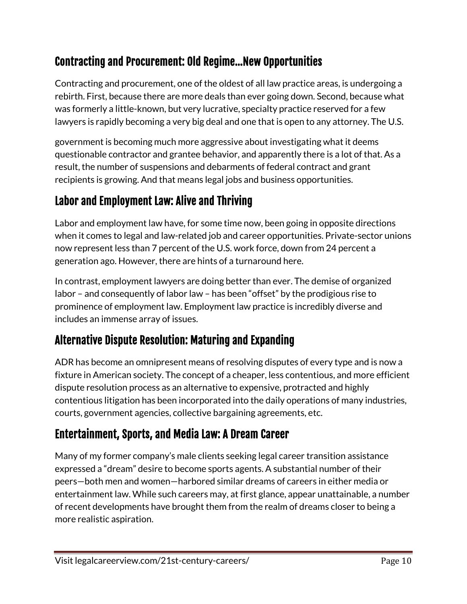### Contracting and Procurement: Old Regime…New Opportunities

Contracting and procurement, one of the oldest of all law practice areas, is undergoing a rebirth. First, because there are more deals than ever going down. Second, because what was formerly a little-known, but very lucrative, specialty practice reserved for a few lawyers is rapidly becoming a very big deal and one that is open to any attorney. The U.S.

government is becoming much more aggressive about investigating what it deems questionable contractor and grantee behavior, and apparently there is a lot of that. As a result, the number of suspensions and debarments of federal contract and grant recipients is growing. And that means legal jobs and business opportunities.

#### Labor and Employment Law: Alive and Thriving

Labor and employment law have, for some time now, been going in opposite directions when it comes to legal and law-related job and career opportunities. Private-sector unions now represent less than 7 percent of the U.S. work force, down from 24 percent a generation ago. However, there are hints of a turnaround here.

In contrast, employment lawyers are doing better than ever. The demise of organized labor – and consequently of labor law – has been "offset" by the prodigious rise to prominence of employment law. Employment law practice is incredibly diverse and includes an immense array of issues.

### Alternative Dispute Resolution: Maturing and Expanding

ADR has become an omnipresent means of resolving disputes of every type and is now a fixture in American society. The concept of a cheaper, less contentious, and more efficient dispute resolution process as an alternative to expensive, protracted and highly contentious litigation has been incorporated into the daily operations of many industries, courts, government agencies, collective bargaining agreements, etc.

### Entertainment, Sports, and Media Law: A Dream Career

Many of my former company's male clients seeking legal career transition assistance expressed a "dream" desire to become sports agents. A substantial number of their peers—both men and women—harbored similar dreams of careers in either media or entertainment law. While such careers may, at first glance, appear unattainable, a number of recent developments have brought them from the realm of dreams closer to being a more realistic aspiration.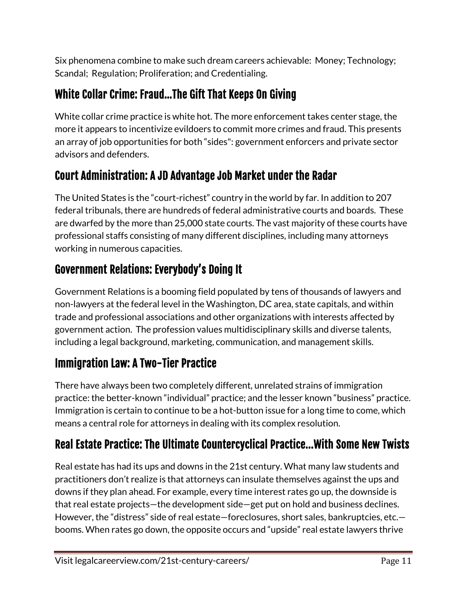Six phenomena combine to make such dream careers achievable: Money; Technology; Scandal; Regulation; Proliferation; and Credentialing.

## White Collar Crime: Fraud…The Gift That Keeps On Giving

White collar crime practice is white hot. The more enforcement takes center stage, the more it appears to incentivize evildoers to commit more crimes and fraud. This presents an array of job opportunities for both "sides": government enforcers and private sector advisors and defenders.

### Court Administration: A JD Advantage Job Market under the Radar

The United States is the "court-richest" country in the world by far. In addition to 207 federal tribunals, there are hundreds of federal administrative courts and boards. These are dwarfed by the more than 25,000 state courts. The vast majority of these courts have professional staffs consisting of many different disciplines, including many attorneys working in numerous capacities.

## Government Relations: Everybody's Doing It

Government Relations is a booming field populated by tens of thousands of lawyers and non-lawyers at the federal level in the Washington, DC area, state capitals, and within trade and professional associations and other organizations with interests affected by government action. The profession values multidisciplinary skills and diverse talents, including a legal background, marketing, communication, and management skills.

### Immigration Law: A Two-Tier Practice

There have always been two completely different, unrelated strains of immigration practice: the better-known "individual" practice; and the lesser known "business" practice. Immigration is certain to continue to be a hot-button issue for a long time to come, which means a central role for attorneys in dealing with its complex resolution.

## Real Estate Practice: The Ultimate Countercyclical Practice...With Some New Twists

Real estate has had its ups and downs in the 21st century. What many law students and practitioners don't realize is that attorneys can insulate themselves against the ups and downs if they plan ahead. For example, every time interest rates go up, the downside is that real estate projects—the development side—get put on hold and business declines. However, the "distress" side of real estate—foreclosures, short sales, bankruptcies, etc. booms. When rates go down, the opposite occurs and "upside" real estate lawyers thrive